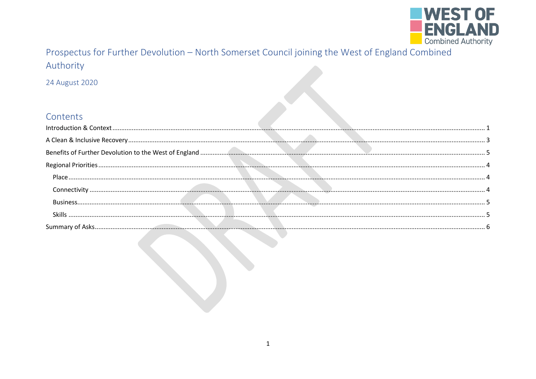

# Prospectus for Further Devolution - North Somerset Council joining the West of England Combined Authority

24 August 2020

## Contante

| <b>CULLELILS</b> |  |
|------------------|--|
|                  |  |
|                  |  |
|                  |  |
|                  |  |
|                  |  |
|                  |  |
|                  |  |
|                  |  |
|                  |  |
|                  |  |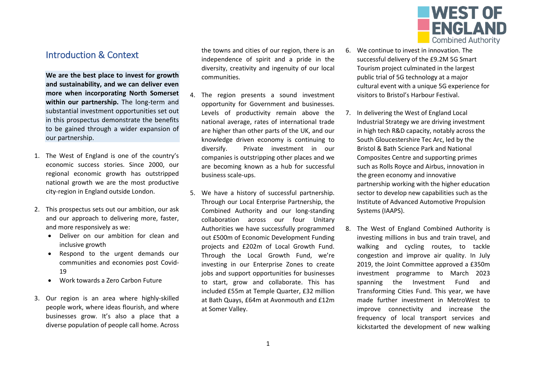

## <span id="page-1-0"></span>Introduction & Context

**We are the best place to invest for growth and sustainability, and we can deliver even more when incorporating North Somerset within our partnership.** The long-term and substantial investment opportunities set out in this prospectus demonstrate the benefits to be gained through a wider expansion of our partnership.

- 1. The West of England is one of the country's economic success stories. Since 2000, our regional economic growth has outstripped national growth we are the most productive city-region in England outside London.
- 2. This prospectus sets out our ambition, our ask and our approach to delivering more, faster, and more responsively as we:
	- Deliver on our ambition for clean and inclusive growth
	- Respond to the urgent demands our communities and economies post Covid-19
	- Work towards a Zero Carbon Future
- 3. Our region is an area where highly-skilled people work, where ideas flourish, and where businesses grow. It's also a place that a diverse population of people call home. Across

the towns and cities of our region, there is an independence of spirit and a pride in the diversity, creativity and ingenuity of our local communities.

- 4. The region presents a sound investment opportunity for Government and businesses. Levels of productivity remain above the national average, rates of international trade are higher than other parts of the UK, and our knowledge driven economy is continuing to diversify. Private investment in our companies is outstripping other places and we are becoming known as a hub for successful business scale-ups.
- 5. We have a history of successful partnership. Through our Local Enterprise Partnership, the Combined Authority and our long-standing collaboration across our four Unitary Authorities we have successfully programmed out £500m of Economic Development Funding projects and £202m of Local Growth Fund. Through the Local Growth Fund, we're investing in our Enterprise Zones to create jobs and support opportunities for businesses to start, grow and collaborate. This has included £55m at Temple Quarter, £32 million at Bath Quays, £64m at Avonmouth and £12m at Somer Valley.
- 6. We continue to invest in innovation. The successful delivery of the £9.2M 5G Smart Tourism project culminated in the largest public trial of 5G technology at a major cultural event with a unique 5G experience for visitors to Bristol's Harbour Festival.
- 7. In delivering the West of England Local Industrial Strategy we are driving investment in high tech R&D capacity, notably across the South Gloucestershire Tec Arc, led by the Bristol & Bath Science Park and National Composites Centre and supporting primes such as Rolls Royce and Airbus, innovation in the green economy and innovative partnership working with the higher education sector to develop new capabilities such as the Institute of Advanced Automotive Propulsion Systems (IAAPS).
- 8. The West of England Combined Authority is investing millions in bus and train travel, and walking and cycling routes, to tackle congestion and improve air quality. In July 2019, the Joint Committee approved a £350m investment programme to March 2023 spanning the Investment Fund and Transforming Cities Fund. This year, we have made further investment in MetroWest to improve connectivity and increase the frequency of local transport services and kickstarted the development of new walking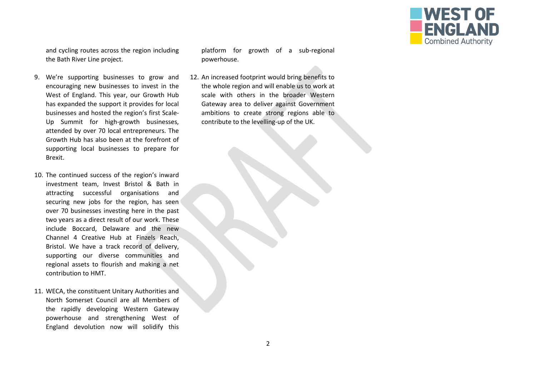

and cycling routes across the region including the Bath River Line project.

- 9. We're supporting businesses to grow and encouraging new businesses to invest in the West of England. This year, our Growth Hub has expanded the support it provides for local businesses and hosted the region's first Scale-Up Summit for high-growth businesses, attended by over 70 local entrepreneurs. The Growth Hub has also been at the forefront of supporting local businesses to prepare for Brexit.
- 10. The continued success of the region's inward investment team, Invest Bristol & Bath in attracting successful organisations and securing new jobs for the region, has seen over 70 businesses investing here in the past two years as a direct result of our work. These include Boccard, Delaware and the new Channel 4 Creative Hub at Finzels Reach, Bristol. We have a track record of delivery, supporting our diverse communities and regional assets to flourish and making a net contribution to HMT.
- 11. WECA, the constituent Unitary Authorities and North Somerset Council are all Members of the rapidly developing Western Gateway powerhouse and strengthening West of England devolution now will solidify this

platform for growth of a sub-regional powerhouse.

12. An increased footprint would bring benefits to the whole region and will enable us to work at scale with others in the broader Western Gateway area to deliver against Government ambitions to create strong regions able to contribute to the levelling-up of the UK.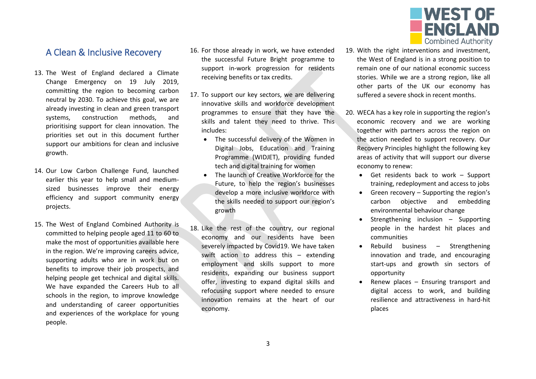

### <span id="page-3-0"></span>A Clean & Inclusive Recovery

- 13. The West of England declared a Climate Change Emergency on 19 July 2019, committing the region to becoming carbon neutral by 2030. To achieve this goal, we are already investing in clean and green transport systems, construction methods, and prioritising support for clean innovation. The priorities set out in this document further support our ambitions for clean and inclusive growth.
- 14. Our Low Carbon Challenge Fund, launched earlier this year to help small and mediumsized businesses improve their energy efficiency and support community energy projects.
- 15. The West of England Combined Authority is committed to helping people aged 11 to 60 to make the most of opportunities available here in the region. We're improving careers advice, supporting adults who are in work but on benefits to improve their job prospects, and helping people get technical and digital skills. We have expanded the Careers Hub to all schools in the region, to improve knowledge and understanding of career opportunities and experiences of the workplace for young people.
- 16. For those already in work, we have extended the successful Future Bright programme to support in-work progression for residents receiving benefits or tax credits.
- 17. To support our key sectors, we are delivering innovative skills and workforce development programmes to ensure that they have the skills and talent they need to thrive. This includes:
	- The successful delivery of the Women in Digital Jobs, Education and Training Programme (WIDJET), providing funded tech and digital training for women
	- The launch of Creative Workforce for the Future, to help the region's businesses develop a more inclusive workforce with the skills needed to support our region's growth
- 18. Like the rest of the country, our regional economy and our residents have been severely impacted by Covid19. We have taken swift action to address this – extending employment and skills support to more residents, expanding our business support offer, investing to expand digital skills and refocusing support where needed to ensure innovation remains at the heart of our economy.
- 19. With the right interventions and investment, the West of England is in a strong position to remain one of our national economic success stories. While we are a strong region, like all other parts of the UK our economy has suffered a severe shock in recent months.
- 20. WECA has a key role in supporting the region's economic recovery and we are working together with partners across the region on the action needed to support recovery. Our Recovery Principles highlight the following key areas of activity that will support our diverse economy to renew:
	- Get residents back to work Support training, redeployment and access to jobs
	- Green recovery Supporting the region's carbon objective and embedding environmental behaviour change
	- Strengthening inclusion  $-$  Supporting people in the hardest hit places and communities
	- Rebuild business Strengthening innovation and trade, and encouraging start-ups and growth sin sectors of opportunity
	- Renew places Ensuring transport and digital access to work, and building resilience and attractiveness in hard-hit places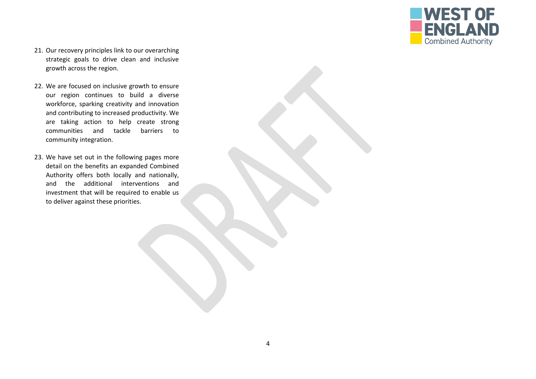

- 21. Our recovery principles link to our overarching strategic goals to drive clean and inclusive growth across the region.
- 22. We are focused on inclusive growth to ensure our region continues to build a diverse workforce, sparking creativity and innovation and contributing to increased productivity. We are taking action to help create strong communities and tackle barriers to community integration.
- 23. We have set out in the following pages more detail on the benefits an expanded Combined Authority offers both locally and nationally, and the additional interventions and investment that will be required to enable us to deliver against these priorities.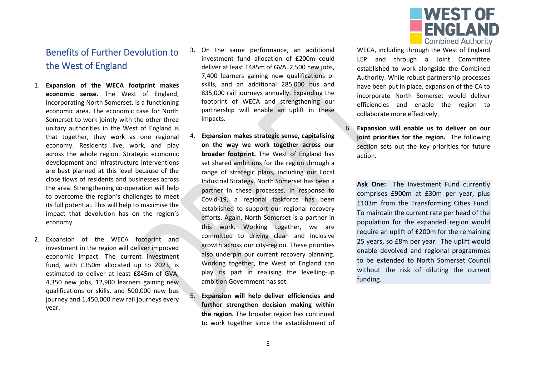

## <span id="page-5-0"></span>Benefits of Further Devolution to the West of England

- 1. **Expansion of the WECA footprint makes economic sense.** The West of England, incorporating North Somerset, is a functioning economic area. The economic case for North Somerset to work jointly with the other three unitary authorities in the West of England is that together, they work as one regional economy. Residents live, work, and play across the whole region. Strategic economic development and infrastructure interventions are best planned at this level because of the close flows of residents and businesses across the area. Strengthening co-operation will help to overcome the region's challenges to meet its full potential. This will help to maximise the impact that devolution has on the region's economy.
- 2. Expansion of the WECA footprint and investment in the region will deliver improved economic impact. The current investment fund, with £350m allocated up to 2023, is estimated to deliver at least £845m of GVA, 4,350 new jobs, 12,900 learners gaining new qualifications or skills, and 500,000 new bus journey and 1,450,000 new rail journeys every year.
- 3. On the same performance, an additional investment fund allocation of £200m could deliver at least £485m of GVA, 2,500 new jobs, 7,400 learners gaining new qualifications or skills, and an additional 285,000 bus and 835,000 rail journeys annually. Expanding the footprint of WECA and strengthening our partnership will enable an uplift in these impacts.
- 4. **Expansion makes strategic sense, capitalising on the way we work together across our broader footprint.** The West of England has set shared ambitions for the region through a range of strategic plans, including our Local Industrial Strategy. North Somerset has been a partner in these processes. In response to Covid-19, a regional taskforce has been established to support our regional recovery efforts. Again, North Somerset is a partner in this work. Working together, we are committed to driving clean and inclusive growth across our city-region. These priorities also underpin our current recovery planning. Working together, the West of England can play its part in realising the levelling-up ambition Government has set.
- 5. **Expansion will help deliver efficiencies and further strengthen decision making within the region.** The broader region has continued to work together since the establishment of

WECA, including through the West of England LEP and through a Joint Committee established to work alongside the Combined Authority. While robust partnership processes have been put in place, expansion of the CA to incorporate North Somerset would deliver efficiencies and enable the region to collaborate more effectively.

6. **Expansion will enable us to deliver on our joint priorities for the region.** The following section sets out the key priorities for future action.

**Ask One:** The Investment Fund currently comprises £900m at £30m per year, plus £103m from the Transforming Cities Fund. To maintain the current rate per head of the population for the expanded region would require an uplift of £200m for the remaining 25 years, so £8m per year. The uplift would enable devolved and regional programmes to be extended to North Somerset Council without the risk of diluting the current funding.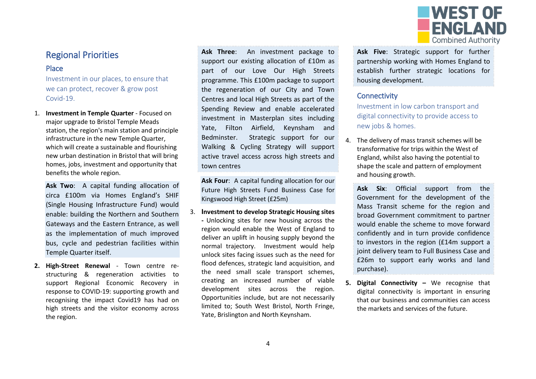

## <span id="page-6-0"></span>Regional Priorities

#### <span id="page-6-1"></span>Place

Investment in our places, to ensure that we can protect, recover & grow post Covid-19.

1. **Investment in Temple Quarter** - Focused on major upgrade to Bristol Temple Meads station, the region's main station and principle infrastructure in the new Temple Quarter, which will create a sustainable and flourishing new urban destination in Bristol that will bring homes, jobs, investment and opportunity that benefits the whole region.

**Ask Two**: A capital funding allocation of circa £100m via Homes England's SHIF (Single Housing Infrastructure Fund) would enable: building the Northern and Southern Gateways and the Eastern Entrance, as well as the implementation of much improved bus, cycle and pedestrian facilities within Temple Quarter itself.

**2. High-Street Renewal** - Town centre restructuring & regeneration activities to support Regional Economic Recovery in response to COVID-19: supporting growth and recognising the impact Covid19 has had on high streets and the visitor economy across the region.

**Ask Three**: An investment package to support our existing allocation of £10m as part of our Love Our High Streets programme. This £100m package to support the regeneration of our City and Town Centres and local High Streets as part of the Spending Review and enable accelerated investment in Masterplan sites including Yate, Filton Airfield, Keynsham and Bedminster. Strategic support for our Walking & Cycling Strategy will support active travel access across high streets and town centres

**Ask Four**: A capital funding allocation for our Future High Streets Fund Business Case for Kingswood High Street (£25m)

3. **Investment to develop Strategic Housing sites -** Unlocking sites for new housing across the region would enable the West of England to deliver an uplift in housing supply beyond the normal trajectory. Investment would help unlock sites facing issues such as the need for flood defences, strategic land acquisition, and the need small scale transport schemes, creating an increased number of viable development sites across the region. Opportunities include, but are not necessarily limited to; South West Bristol, North Fringe, Yate, Brislington and North Keynsham.

**Ask Five**: Strategic support for further partnership working with Homes England to establish further strategic locations for housing development.

#### <span id="page-6-2"></span>**Connectivity**

Investment in low carbon transport and digital connectivity to provide access to new jobs & homes.

- 4. The delivery of mass transit schemes will be transformative for trips within the West of England, whilst also having the potential to shape the scale and pattern of employment and housing growth.
	- **Ask Six**: Official support from the Government for the development of the Mass Transit scheme for the region and broad Government commitment to partner would enable the scheme to move forward confidently and in turn provide confidence to investors in the region (£14m support a joint delivery team to Full Business Case and £26m to support early works and land purchase).
- **5. Digital Connectivity –** We recognise that digital connectivity is important in ensuring that our business and communities can access the markets and services of the future.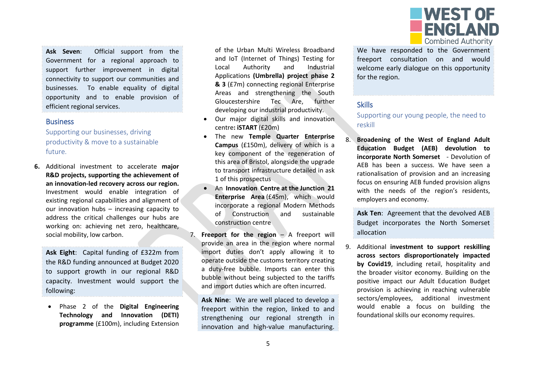

**Ask Seven**: Official support from the Government for a regional approach to support further improvement in digital connectivity to support our communities and businesses. To enable equality of digital opportunity and to enable provision of efficient regional services.

#### <span id="page-7-0"></span>**Business**

Supporting our businesses, driving productivity & move to a sustainable future.

**6.** Additional investment to accelerate **major R&D projects, supporting the achievement of an innovation-led recovery across our region.**  Investment would enable integration of existing regional capabilities and alignment of our innovation hubs – increasing capacity to address the critical challenges our hubs are working on: achieving net zero, healthcare, social mobility, low carbon.

**Ask Eight**: Capital funding of £322m from the R&D funding announced at Budget 2020 to support growth in our regional R&D capacity. Investment would support the following:

 Phase 2 of the **Digital Engineering Technology and Innovation (DETI) programme** (£100m), including Extension of the Urban Multi Wireless Broadband and IoT (Internet of Things) Testing for Local Authority and Industrial Applications **(Umbrella) project phase 2 & 3** (£7m) connecting regional Enterprise Areas and strengthening the South Gloucestershire Tec Are, further developing our industrial productivity.

- Our major digital skills and innovation centre**: iSTART** (£20m)
- The new **Temple Quarter Enterprise Campus** (£150m), delivery of which is a key component of the regeneration of this area of Bristol, alongside the upgrade to transport infrastructure detailed in ask 1 of this prospectus
- An **Innovation Centre at the Junction 21 Enterprise Area** (£45m), which would incorporate a regional Modern Methods of Construction and sustainable construction centre
- 7. **Freeport for the region** A freeport will provide an area in the region where normal import duties don't apply allowing it to operate outside the customs territory creating a duty-free bubble. Imports can enter this bubble without being subjected to the tariffs and import duties which are often incurred.

**Ask Nine**: We are well placed to develop a freeport within the region, linked to and strengthening our regional strength in innovation and high-value manufacturing.

We have responded to the Government freeport consultation on and would welcome early dialogue on this opportunity for the region.

#### <span id="page-7-1"></span>**Skills**

Supporting our young people, the need to reskill

8. **Broadening of the West of England Adult Education Budget (AEB) devolution to incorporate North Somerset** - Devolution of AEB has been a success. We have seen a rationalisation of provision and an increasing focus on ensuring AEB funded provision aligns with the needs of the region's residents, employers and economy.

**Ask Ten**: Agreement that the devolved AEB Budget incorporates the North Somerset allocation

9. Additional **investment to support reskilling across sectors disproportionately impacted by Covid19**, including retail, hospitality and the broader visitor economy. Building on the positive impact our Adult Education Budget provision is achieving in reaching vulnerable sectors/employees, additional investment would enable a focus on building the foundational skills our economy requires.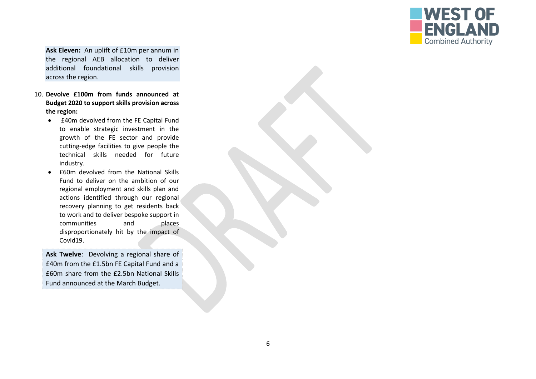

**Ask Eleven:** An uplift of £10m per annum in the regional AEB allocation to deliver additional foundational skills provision across the region.

- 10. **Devolve £100m from funds announced at Budget 2020 to support skills provision across the region:**
	- £40m devolved from the FE Capital Fund to enable strategic investment in the growth of the FE sector and provide cutting-edge facilities to give people the technical skills needed for future industry.
	- £60m devolved from the National Skills Fund to deliver on the ambition of our regional employment and skills plan and actions identified through our regional recovery planning to get residents back to work and to deliver bespoke support in communities and places disproportionately hit by the impact of Covid19.

**Ask Twelve**: Devolving a regional share of £40m from the £1.5bn FE Capital Fund and a £60m share from the £2.5bn National Skills Fund announced at the March Budget.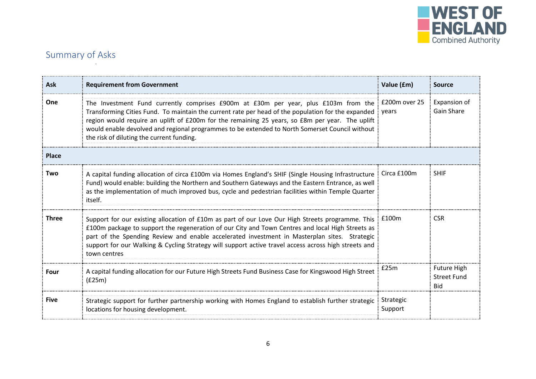

# <span id="page-9-0"></span>Summary of Asks

| Ask          | <b>Requirement from Government</b>                                                                                                                                                                                                                                                                                                                                                                                                                          | Value (£m)           | <b>Source</b>                                          |
|--------------|-------------------------------------------------------------------------------------------------------------------------------------------------------------------------------------------------------------------------------------------------------------------------------------------------------------------------------------------------------------------------------------------------------------------------------------------------------------|----------------------|--------------------------------------------------------|
| One          | The Investment Fund currently comprises £900m at £30m per year, plus £103m from the £200m over 25<br>Transforming Cities Fund. To maintain the current rate per head of the population for the expanded i<br>region would require an uplift of £200m for the remaining 25 years, so £8m per year. The uplift<br>would enable devolved and regional programmes to be extended to North Somerset Council without<br>the risk of diluting the current funding. | vears                | Expansion of<br><b>Gain Share</b>                      |
| <b>Place</b> |                                                                                                                                                                                                                                                                                                                                                                                                                                                             |                      |                                                        |
| Two          | A capital funding allocation of circa £100m via Homes England's SHIF (Single Housing Infrastructure   Circa £100m<br>Fund) would enable: building the Northern and Southern Gateways and the Eastern Entrance, as well<br>as the implementation of much improved bus, cycle and pedestrian facilities within Temple Quarter<br>itself.                                                                                                                      |                      | <b>SHIF</b>                                            |
| <b>Three</b> | Support for our existing allocation of £10m as part of our Love Our High Streets programme. This   £100m<br>£100m package to support the regeneration of our City and Town Centres and local High Streets as<br>part of the Spending Review and enable accelerated investment in Masterplan sites. Strategic<br>support for our Walking & Cycling Strategy will support active travel access across high streets and<br>town centres                        |                      | <b>CSR</b>                                             |
| Four         | A capital funding allocation for our Future High Streets Fund Business Case for Kingswood High Street<br>(E25m)                                                                                                                                                                                                                                                                                                                                             | £25m                 | <b>Future High</b><br><b>Street Fund</b><br><b>Bid</b> |
| Five         | Strategic support for further partnership working with Homes England to establish further strategic<br>locations for housing development.                                                                                                                                                                                                                                                                                                                   | Strategic<br>Support |                                                        |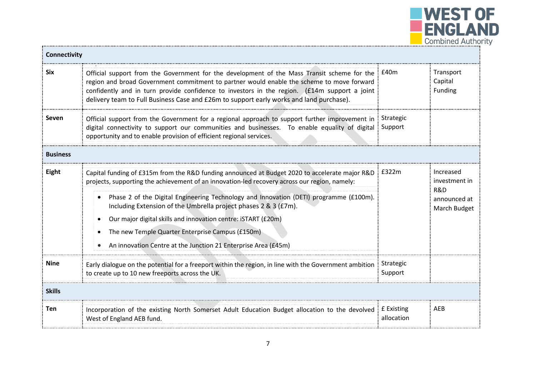

| Connectivity    |                                                                                                                                                                                                                                                                                                                                                                                                                                                                                                                                                     |                          |                                                                              |
|-----------------|-----------------------------------------------------------------------------------------------------------------------------------------------------------------------------------------------------------------------------------------------------------------------------------------------------------------------------------------------------------------------------------------------------------------------------------------------------------------------------------------------------------------------------------------------------|--------------------------|------------------------------------------------------------------------------|
| <b>Six</b>      | Official support from the Government for the development of the Mass Transit scheme for the i £40m<br>region and broad Government commitment to partner would enable the scheme to move forward<br>confidently and in turn provide confidence to investors in the region. (£14m support a joint<br>delivery team to Full Business Case and £26m to support early works and land purchase).                                                                                                                                                          |                          | Transport<br>Capital<br>Funding                                              |
| Seven           | Official support from the Government for a regional approach to support further improvement in<br>digital connectivity to support our communities and businesses. To enable equality of digital Support<br>opportunity and to enable provision of efficient regional services.                                                                                                                                                                                                                                                                      | Strategic                |                                                                              |
| <b>Business</b> |                                                                                                                                                                                                                                                                                                                                                                                                                                                                                                                                                     |                          |                                                                              |
| Eight           | Capital funding of £315m from the R&D funding announced at Budget 2020 to accelerate major R&D<br>projects, supporting the achievement of an innovation-led recovery across our region, namely:<br>Phase 2 of the Digital Engineering Technology and Innovation (DETI) programme (£100m).<br>Including Extension of the Umbrella project phases 2 & 3 (£7m).<br>Our major digital skills and innovation centre: iSTART (£20m)<br>The new Temple Quarter Enterprise Campus (£150m)<br>An innovation Centre at the Junction 21 Enterprise Area (£45m) | $\pm$ £322m              | Increased<br>investment in<br><b>R&amp;D</b><br>announced at<br>March Budget |
| <b>Nine</b>     | Early dialogue on the potential for a freeport within the region, in line with the Government ambition<br>to create up to 10 new freeports across the UK.                                                                                                                                                                                                                                                                                                                                                                                           | Strategic<br>Support     |                                                                              |
| <b>Skills</b>   |                                                                                                                                                                                                                                                                                                                                                                                                                                                                                                                                                     |                          |                                                                              |
| <b>Ten</b>      | Incorporation of the existing North Somerset Adult Education Budget allocation to the devolved<br>West of England AEB fund.                                                                                                                                                                                                                                                                                                                                                                                                                         | £ Existing<br>allocation | AEB                                                                          |